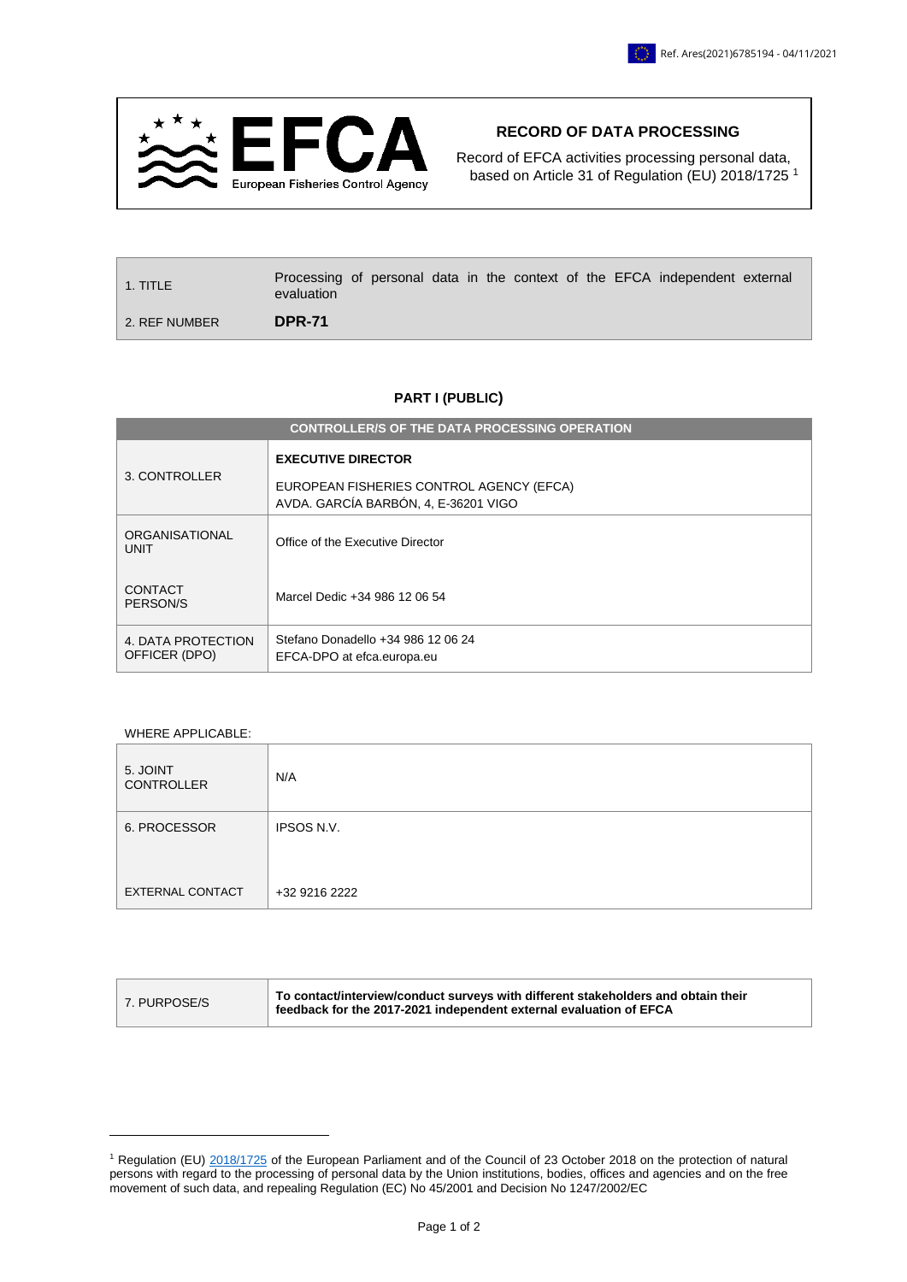

## **RECORD OF DATA PROCESSING**

Record of EFCA activities processing personal data, based on Article 31 of Regulation (EU) 2018/1725<sup>1</sup>

| l 1. TITLE    | Processing of personal data in the context of the EFCA independent external<br>evaluation |  |  |  |  |  |
|---------------|-------------------------------------------------------------------------------------------|--|--|--|--|--|
| 2. REF NUMBER | <b>DPR-71</b>                                                                             |  |  |  |  |  |

## **PART I (PUBLIC)**

| <b>CONTROLLER/S OF THE DATA PROCESSING OPERATION</b> |                                                                                                               |  |  |  |  |
|------------------------------------------------------|---------------------------------------------------------------------------------------------------------------|--|--|--|--|
| 3. CONTROLLER                                        | <b>EXECUTIVE DIRECTOR</b><br>EUROPEAN FISHERIES CONTROL AGENCY (EFCA)<br>AVDA. GARCÍA BARBÓN, 4, E-36201 VIGO |  |  |  |  |
| ORGANISATIONAL<br><b>UNIT</b>                        | Office of the Executive Director                                                                              |  |  |  |  |
| <b>CONTACT</b><br>PERSON/S                           | Marcel Dedic +34 986 12 06 54                                                                                 |  |  |  |  |
| 4. DATA PROTECTION<br>OFFICER (DPO)                  | Stefano Donadello +34 986 12 06 24<br>EFCA-DPO at efca.europa.eu                                              |  |  |  |  |

## WHERE APPLICABLE:

1

| 5. JOINT<br><b>CONTROLLER</b> | N/A               |
|-------------------------------|-------------------|
| 6. PROCESSOR                  | <b>IPSOS N.V.</b> |
|                               |                   |
| <b>EXTERNAL CONTACT</b>       | +32 9216 2222     |

| 7. PURPOSE/S | △ To contact/interview/conduct surveys with different stakeholders and obtain their<br>feedback for the 2017-2021 independent external evaluation of EFCA |
|--------------|-----------------------------------------------------------------------------------------------------------------------------------------------------------|
|--------------|-----------------------------------------------------------------------------------------------------------------------------------------------------------|

<sup>&</sup>lt;sup>1</sup> Regulation (EU) [2018/1725](https://eur-lex.europa.eu/legal-content/EN/TXT/?uri=CELEX%3A32018R1725) of the European Parliament and of the Council of 23 October 2018 on the protection of natural persons with regard to the processing of personal data by the Union institutions, bodies, offices and agencies and on the free movement of such data, and repealing Regulation (EC) No 45/2001 and Decision No 1247/2002/EC